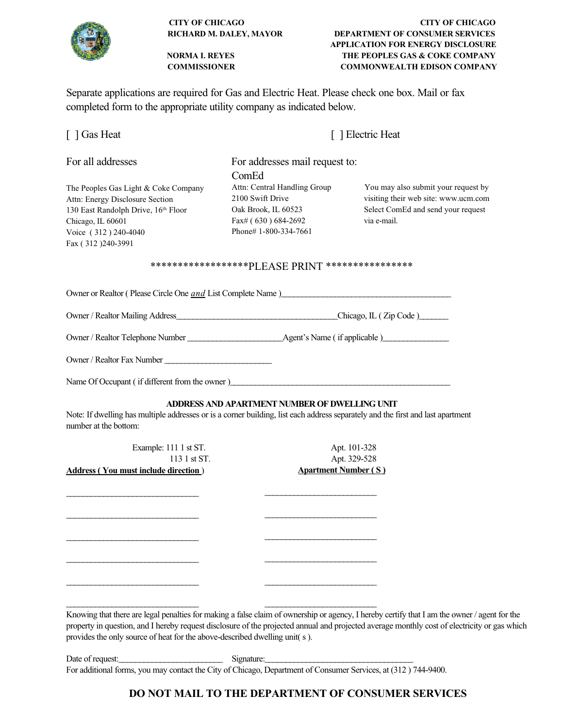

| <b>CITY OF CHICAGO</b>         |                 |
|--------------------------------|-----------------|
| <b>RICHARD M. DALEY, MAYOR</b> | DEPART          |
|                                | <b>APPLICAT</b> |
| <b>NORMA L REYES</b>           | THE PI          |
|                                |                 |

Separate applications are required for Gas and Electric Heat. Please check one box. Mail or fax completed form to the appropriate utility company as indicated below.

|  |  | [ ] Gas Heat |
|--|--|--------------|
|--|--|--------------|

For all addresses For addresses mail request to:

The Peoples Gas Light & Coke Company Attn: Central Handling Group You may also submit your request by Attn: Energy Disclosure Section 2100 Swift Drive visiting their web site: www.ucm.com 130 East Randolph Drive, 16<sup>th</sup> Floor Oak Brook, IL 60523 Select ComEd and send your request Chicago, IL 60601 **Fax**# ( 630 ) 684-2692 via e-mail. Voice (312) 240-4040 Phone# 1-800-334-7661 Fax ( 312 )240-3991

ComEd

#### \*\*\*\*\*\*\*\*\*\*\*\*\*\*\*\*\*\*PLEASE PRINT \*\*\*\*\*\*\*\*\*\*\*\*\*\*\*\*

Owner or Realtor ( Please Circle One *and* List Complete Name )\_\_\_\_\_\_\_\_\_\_\_\_\_\_\_\_\_\_\_\_\_\_\_\_\_\_\_\_\_\_\_\_\_\_\_\_\_\_\_\_\_

Owner / Realtor Mailing Address\_\_\_\_\_\_\_\_\_\_\_\_\_\_\_\_\_\_\_\_\_\_\_\_\_\_\_\_\_\_\_\_\_\_\_\_\_\_\_Chicago, IL ( Zip Code )\_\_\_\_\_\_\_

Owner / Realtor Telephone Number \_\_\_\_\_\_\_\_\_\_\_\_\_\_\_\_\_\_\_\_\_\_\_Agent's Name ( if applicable )\_\_\_\_\_\_\_\_\_\_\_\_\_\_\_\_

Owner / Realtor Fax Number \_\_\_\_\_\_\_\_\_\_\_\_\_\_\_\_\_\_\_\_\_\_\_\_\_\_

\_\_\_\_\_\_\_\_\_\_\_\_\_\_\_\_\_\_\_\_\_\_\_\_\_\_\_\_\_\_\_\_ \_\_\_\_\_\_\_\_\_\_\_\_\_\_\_\_\_\_\_\_\_\_\_\_\_\_\_

\_\_\_\_\_\_\_\_\_\_\_\_\_\_\_\_\_\_\_\_\_\_\_\_\_\_\_\_\_\_\_\_ \_\_\_\_\_\_\_\_\_\_\_\_\_\_\_\_\_\_\_\_\_\_\_\_\_\_\_

\_\_\_\_\_\_\_\_\_\_\_\_\_\_\_\_\_\_\_\_\_\_\_\_\_\_\_\_\_\_\_\_ \_\_\_\_\_\_\_\_\_\_\_\_\_\_\_\_\_\_\_\_\_\_\_\_\_\_\_

\_\_\_\_\_\_\_\_\_\_\_\_\_\_\_\_\_\_\_\_\_\_\_\_\_\_\_\_\_\_\_\_ \_\_\_\_\_\_\_\_\_\_\_\_\_\_\_\_\_\_\_\_\_\_\_\_\_\_\_

\_\_\_\_\_\_\_\_\_\_\_\_\_\_\_\_\_\_\_\_\_\_\_\_\_\_\_\_\_\_\_\_ \_\_\_\_\_\_\_\_\_\_\_\_\_\_\_\_\_\_\_\_\_\_\_\_\_\_\_

\_\_\_\_\_\_\_\_\_\_\_\_\_\_\_\_\_\_\_\_\_\_\_\_\_\_\_\_\_\_\_\_ \_\_\_\_\_\_\_\_\_\_\_\_\_\_\_\_\_\_\_\_\_\_\_\_\_\_\_

Name Of Occupant ( if different from the owner )\_\_\_\_\_\_\_\_\_\_\_\_\_\_\_\_\_\_\_\_\_\_\_\_\_\_\_\_\_\_\_\_\_\_\_\_\_\_\_\_\_\_\_\_\_\_\_\_\_\_\_\_\_

#### **ADDRESS AND APARTMENT NUMBER OF DWELLING UNIT**

Note: If dwelling has multiple addresses or is a corner building, list each address separately and the first and last apartment number at the bottom:

Example: 111 1 st ST. Apt. 101-328 **Address ( You must include direction** ) **Apartment Number ( S )**

113 1 st ST. Apt. 329-528

Knowing that there are legal penalties for making a false claim of ownership or agency, I hereby certify that I am the owner / agent for the property in question, and I hereby request disclosure of the projected annual and projected average monthly cost of electricity or gas which provides the only source of heat for the above-described dwelling unit( s ).

Date of request: Signature: For additional forms, you may contact the City of Chicago, Department of Consumer Services, at (312 ) 744-9400.



 **CITY OF CHICAGO CITY OF CHICAGO MENT OF CONSUMER SERVICES TION FOR ENERGY DISCLOSURE EOPLES GAS & COKE COMPANY COMMISSIONER COMMONWEALTH EDISON COMPANY**

[ ] Electric Heat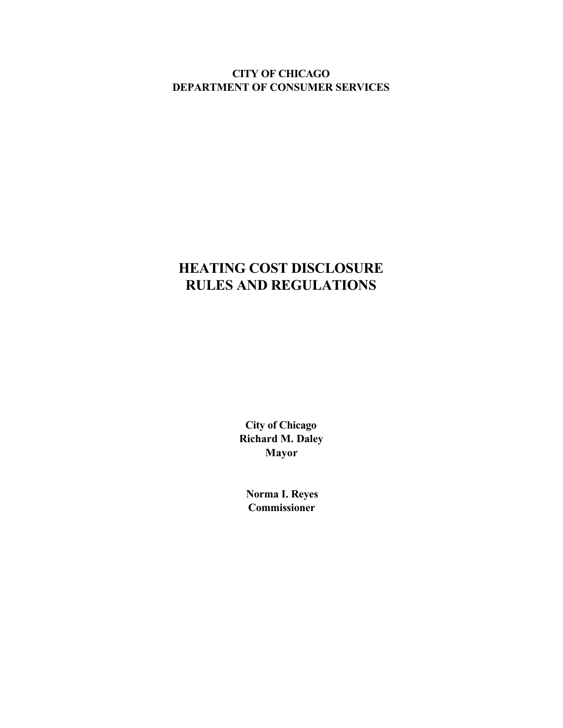**CITY OF CHICAGO DEPARTMENT OF CONSUMER SERVICES**

# **HEATING COST DISCLOSURE RULES AND REGULATIONS**

**City of Chicago Richard M. Daley Mayor**

 **Norma I. Reyes Commissioner**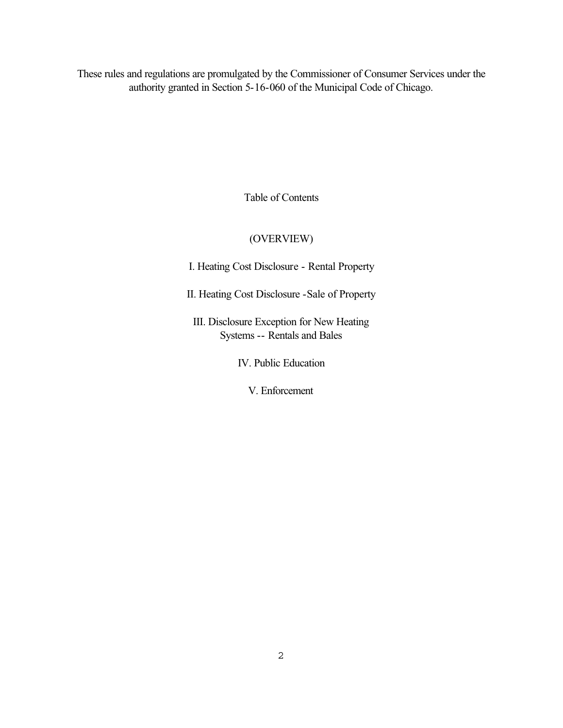These rules and regulations are promulgated by the Commissioner of Consumer Services under the authority granted in Section 5-16-060 of the Municipal Code of Chicago.

Table of Contents

# (OVERVIEW)

I. Heating Cost Disclosure - Rental Property

II. Heating Cost Disclosure -Sale of Property

III. Disclosure Exception for New Heating Systems -- Rentals and Bales

IV. Public Education

V. Enforcement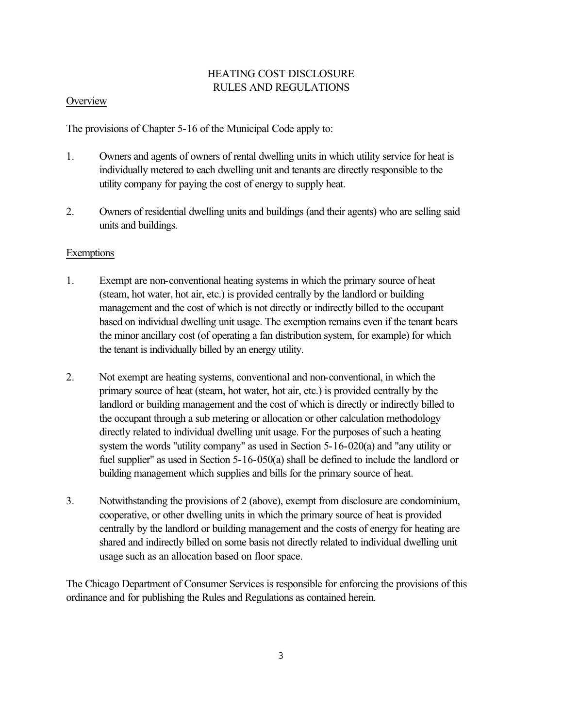# HEATING COST DISCLOSURE RULES AND REGULATIONS

#### **Overview**

The provisions of Chapter 5-16 of the Municipal Code apply to:

- 1. Owners and agents of owners of rental dwelling units in which utility service for heat is individually metered to each dwelling unit and tenants are directly responsible to the utility company for paying the cost of energy to supply heat.
- 2. Owners of residential dwelling units and buildings (and their agents) who are selling said units and buildings.

### **Exemptions**

- 1. Exempt are non-conventional heating systems in which the primary source of heat (steam, hot water, hot air, etc.) is provided centrally by the landlord or building management and the cost of which is not directly or indirectly billed to the occupant based on individual dwelling unit usage. The exemption remains even if the tenant bears the minor ancillary cost (of operating a fan distribution system, for example) for which the tenant is individually billed by an energy utility.
- 2. Not exempt are heating systems, conventional and non-conventional, in which the primary source of heat (steam, hot water, hot air, etc.) is provided centrally by the landlord or building management and the cost of which is directly or indirectly billed to the occupant through a sub metering or allocation or other calculation methodology directly related to individual dwelling unit usage. For the purposes of such a heating system the words "utility company" as used in Section 5-16-020(a) and "any utility or fuel supplier" as used in Section 5-16-050(a) shall be defined to include the landlord or building management which supplies and bills for the primary source of heat.
- 3. Notwithstanding the provisions of 2 (above), exempt from disclosure are condominium, cooperative, or other dwelling units in which the primary source of heat is provided centrally by the landlord or building management and the costs of energy for heating are shared and indirectly billed on some basis not directly related to individual dwelling unit usage such as an allocation based on floor space.

The Chicago Department of Consumer Services is responsible for enforcing the provisions of this ordinance and for publishing the Rules and Regulations as contained herein.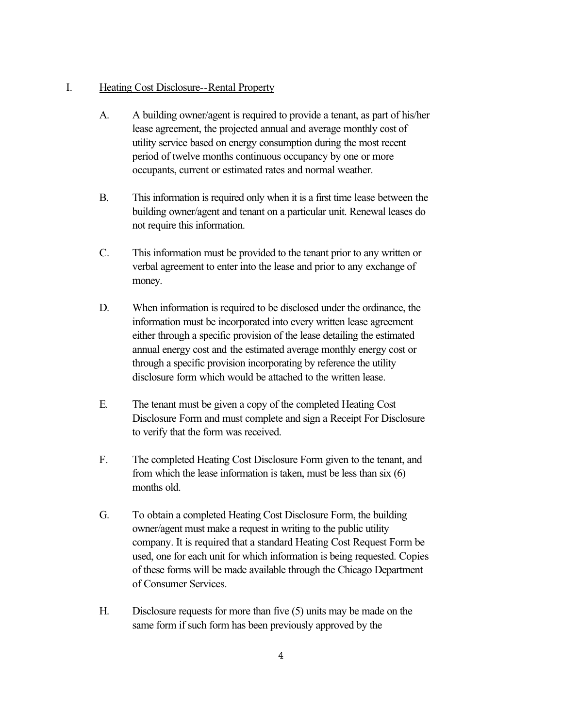#### I. Heating Cost Disclosure--Rental Property

- A. A building owner/agent is required to provide a tenant, as part of his/her lease agreement, the projected annual and average monthly cost of utility service based on energy consumption during the most recent period of twelve months continuous occupancy by one or more occupants, current or estimated rates and normal weather.
- B. This information is required only when it is a first time lease between the building owner/agent and tenant on a particular unit. Renewal leases do not require this information.
- C. This information must be provided to the tenant prior to any written or verbal agreement to enter into the lease and prior to any exchange of money.
- D. When information is required to be disclosed under the ordinance, the information must be incorporated into every written lease agreement either through a specific provision of the lease detailing the estimated annual energy cost and the estimated average monthly energy cost or through a specific provision incorporating by reference the utility disclosure form which would be attached to the written lease.
- E. The tenant must be given a copy of the completed Heating Cost Disclosure Form and must complete and sign a Receipt For Disclosure to verify that the form was received.
- F. The completed Heating Cost Disclosure Form given to the tenant, and from which the lease information is taken, must be less than six (6) months old.
- G. To obtain a completed Heating Cost Disclosure Form, the building owner/agent must make a request in writing to the public utility company. It is required that a standard Heating Cost Request Form be used, one for each unit for which information is being requested. Copies of these forms will be made available through the Chicago Department of Consumer Services.
- H. Disclosure requests for more than five (5) units may be made on the same form if such form has been previously approved by the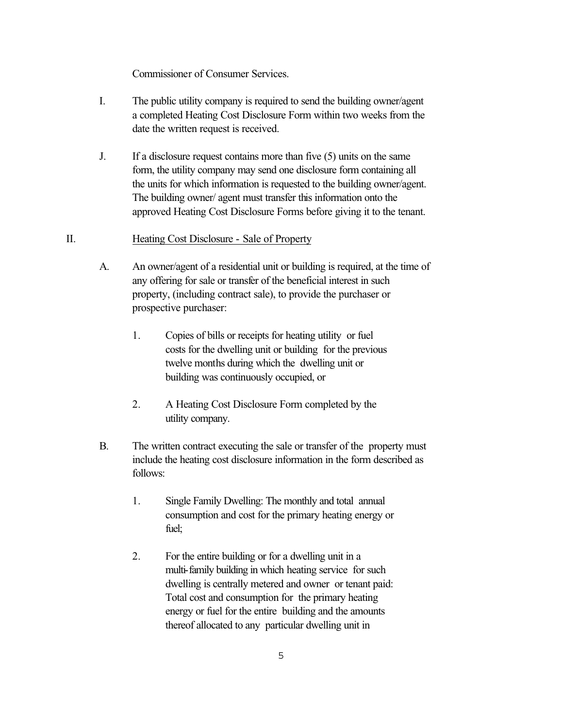Commissioner of Consumer Services.

- I. The public utility company is required to send the building owner/agent a completed Heating Cost Disclosure Form within two weeks from the date the written request is received.
- J. If a disclosure request contains more than five (5) units on the same form, the utility company may send one disclosure form containing all the units for which information is requested to the building owner/agent. The building owner/ agent must transfer this information onto the approved Heating Cost Disclosure Forms before giving it to the tenant.

## II. Heating Cost Disclosure - Sale of Property

- A. An owner/agent of a residential unit or building is required, at the time of any offering for sale or transfer of the beneficial interest in such property, (including contract sale), to provide the purchaser or prospective purchaser:
	- 1. Copies of bills or receipts for heating utility or fuel costs for the dwelling unit or building for the previous twelve months during which the dwelling unit or building was continuously occupied, or
	- 2. A Heating Cost Disclosure Form completed by the utility company.
- B. The written contract executing the sale or transfer of the property must include the heating cost disclosure information in the form described as follows:
	- 1. Single Family Dwelling: The monthly and total annual consumption and cost for the primary heating energy or fuel;
	- 2. For the entire building or for a dwelling unit in a multi-family building in which heating service for such dwelling is centrally metered and owner or tenant paid: Total cost and consumption for the primary heating energy or fuel for the entire building and the amounts thereof allocated to any particular dwelling unit in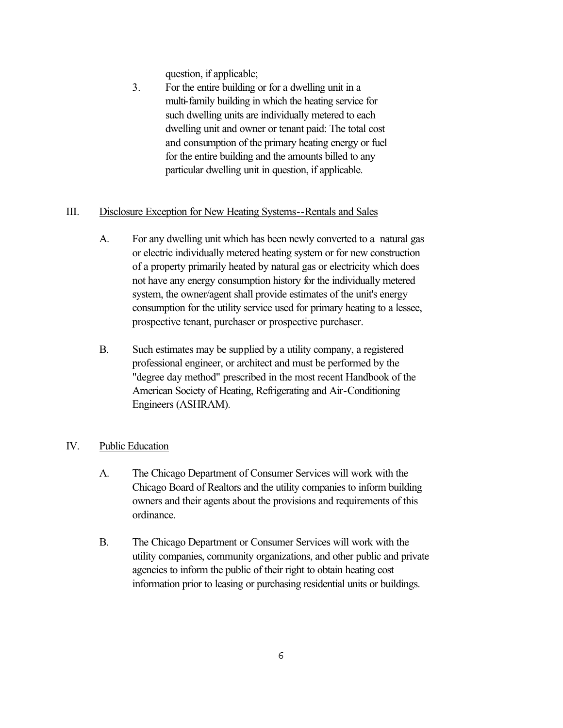question, if applicable;

3. For the entire building or for a dwelling unit in a multi-family building in which the heating service for such dwelling units are individually metered to each dwelling unit and owner or tenant paid: The total cost and consumption of the primary heating energy or fuel for the entire building and the amounts billed to any particular dwelling unit in question, if applicable.

## III. Disclosure Exception for New Heating Systems--Rentals and Sales

- A. For any dwelling unit which has been newly converted to a natural gas or electric individually metered heating system or for new construction of a property primarily heated by natural gas or electricity which does not have any energy consumption history for the individually metered system, the owner/agent shall provide estimates of the unit's energy consumption for the utility service used for primary heating to a lessee, prospective tenant, purchaser or prospective purchaser.
- B. Such estimates may be supplied by a utility company, a registered professional engineer, or architect and must be performed by the "degree day method" prescribed in the most recent Handbook of the American Society of Heating, Refrigerating and Air-Conditioning Engineers (ASHRAM).

# IV. Public Education

- A. The Chicago Department of Consumer Services will work with the Chicago Board of Realtors and the utility companies to inform building owners and their agents about the provisions and requirements of this ordinance.
- B. The Chicago Department or Consumer Services will work with the utility companies, community organizations, and other public and private agencies to inform the public of their right to obtain heating cost information prior to leasing or purchasing residential units or buildings.